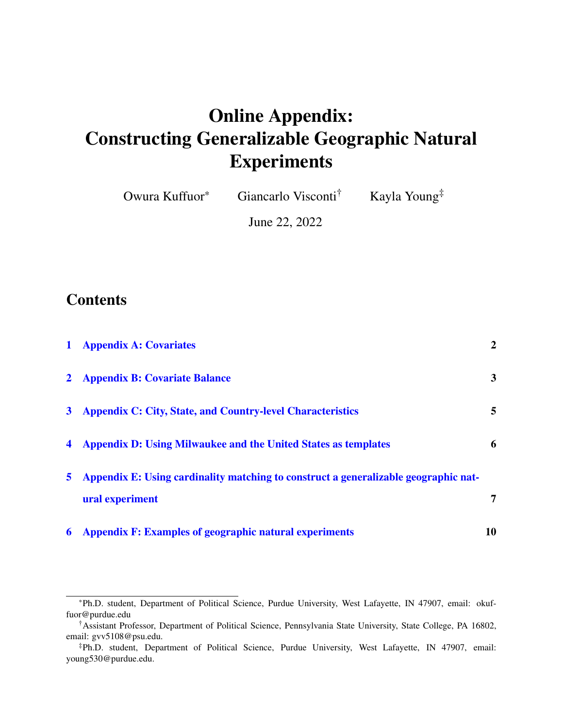### Online Appendix: Constructing Generalizable Geographic Natural Experiments

| Owura Kuffuor <sup>*</sup> | Giancarlo Visconti <sup>T</sup> | Kayla Young <sup>‡</sup> |
|----------------------------|---------------------------------|--------------------------|
|----------------------------|---------------------------------|--------------------------|

June 22, 2022

#### **Contents**

| 6 | <b>Appendix F: Examples of geographic natural experiments</b>                       | 10             |
|---|-------------------------------------------------------------------------------------|----------------|
|   | ural experiment                                                                     | 7              |
| 5 | Appendix E: Using cardinality matching to construct a generalizable geographic nat- |                |
|   | 4 Appendix D: Using Milwaukee and the United States as templates                    | 6              |
|   | 3 Appendix C: City, State, and Country-level Characteristics                        | 5              |
|   | 2 Appendix B: Covariate Balance                                                     | 3              |
|   | 1 Appendix A: Covariates                                                            | $\overline{2}$ |

<sup>\*</sup>Ph.D. student, Department of Political Science, Purdue University, West Lafayette, IN 47907, email: okuffuor@purdue.edu

<sup>†</sup>Assistant Professor, Department of Political Science, Pennsylvania State University, State College, PA 16802, email: gvv5108@psu.edu.

<sup>‡</sup>Ph.D. student, Department of Political Science, Purdue University, West Lafayette, IN 47907, email: young530@purdue.edu.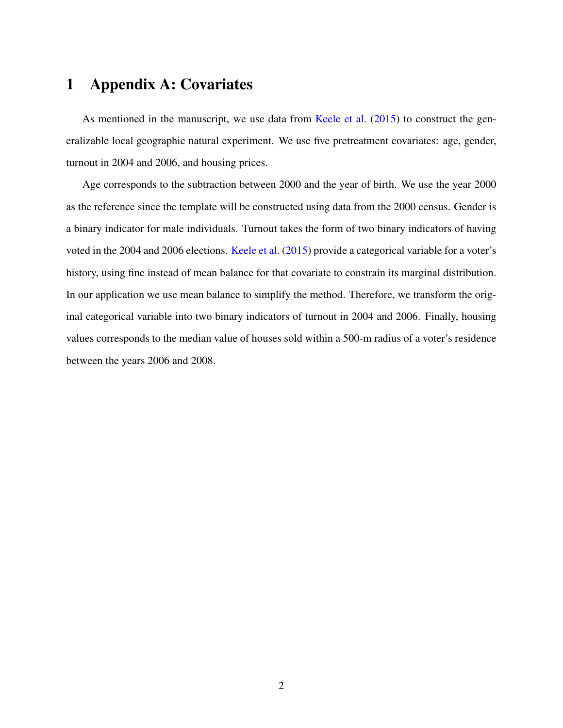#### <span id="page-1-0"></span>1 Appendix A: Covariates

As mentioned in the manuscript, we use data from [Keele et al.](#page-10-0) [\(2015\)](#page-10-0) to construct the generalizable local geographic natural experiment. We use five pretreatment covariates: age, gender, turnout in 2004 and 2006, and housing prices.

Age corresponds to the subtraction between 2000 and the year of birth. We use the year 2000 as the reference since the template will be constructed using data from the 2000 census. Gender is a binary indicator for male individuals. Turnout takes the form of two binary indicators of having voted in the 2004 and 2006 elections. [Keele et al.](#page-10-0) [\(2015\)](#page-10-0) provide a categorical variable for a voter's history, using fine instead of mean balance for that covariate to constrain its marginal distribution. In our application we use mean balance to simplify the method. Therefore, we transform the original categorical variable into two binary indicators of turnout in 2004 and 2006. Finally, housing values corresponds to the median value of houses sold within a 500-m radius of a voter's residence between the years 2006 and 2008.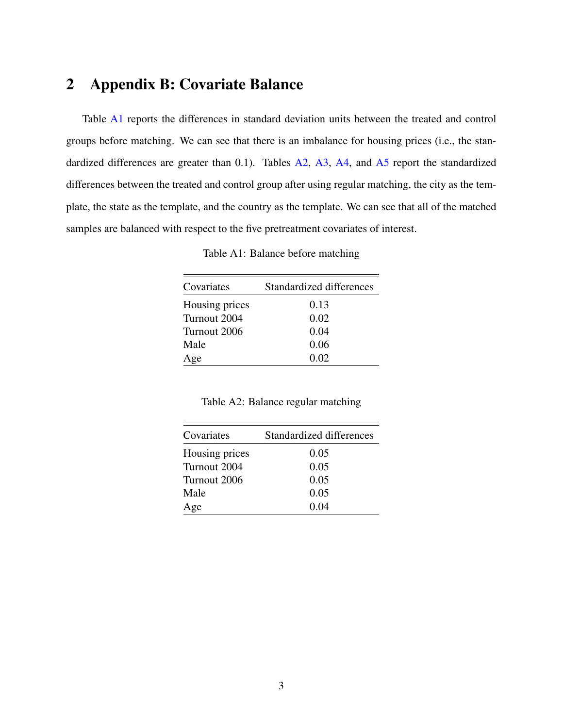#### <span id="page-2-0"></span>2 Appendix B: Covariate Balance

Table [A1](#page-2-1) reports the differences in standard deviation units between the treated and control groups before matching. We can see that there is an imbalance for housing prices (i.e., the stan-dardized differences are greater than 0.1). Tables [A2,](#page-2-2) [A3,](#page-3-0) [A4,](#page-3-1) and [A5](#page-3-2) report the standardized differences between the treated and control group after using regular matching, the city as the template, the state as the template, and the country as the template. We can see that all of the matched samples are balanced with respect to the five pretreatment covariates of interest.

Table A1: Balance before matching

<span id="page-2-1"></span>

| Covariates     | Standardized differences |
|----------------|--------------------------|
| Housing prices | 0.13                     |
| Turnout 2004   | 0.02                     |
| Turnout 2006   | 0.04                     |
| Male           | 0.06                     |
| Age            | 0.02                     |

Table A2: Balance regular matching

<span id="page-2-2"></span>

| Covariates     | Standardized differences |  |  |
|----------------|--------------------------|--|--|
| Housing prices | 0.05                     |  |  |
| Turnout 2004   | 0.05                     |  |  |
| Turnout 2006   | 0.05                     |  |  |
| Male           | 0.05                     |  |  |
| Age            | 0.04                     |  |  |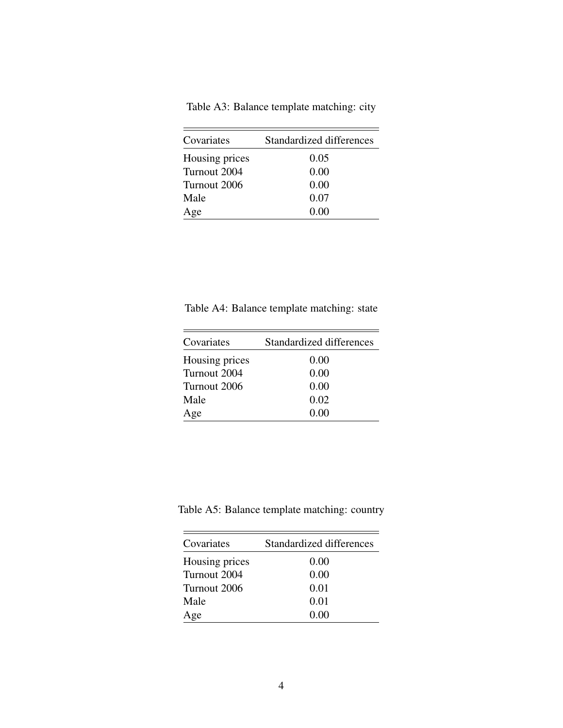|  | Table A3: Balance template matching: city |  |
|--|-------------------------------------------|--|
|  |                                           |  |

<span id="page-3-0"></span>

| Covariates     | Standardized differences |
|----------------|--------------------------|
| Housing prices | 0.05                     |
| Turnout 2004   | 0.00                     |
| Turnout 2006   | 0.00                     |
| Male           | 0.07                     |
| Age            | 0.00                     |

<span id="page-3-1"></span>Table A4: Balance template matching: state

| Covariates     | Standardized differences |
|----------------|--------------------------|
| Housing prices | 0.00                     |
| Turnout 2004   | 0.00                     |
| Turnout 2006   | 0.00                     |
| Male           | 0.02                     |
| Age            | 0.00                     |
|                |                          |

<span id="page-3-2"></span>Table A5: Balance template matching: country

| Covariates     | Standardized differences |
|----------------|--------------------------|
| Housing prices | 0.00                     |
| Turnout 2004   | 0.00                     |
| Turnout 2006   | 0.01                     |
| Male           | 0.01                     |
| Age            | 0.00                     |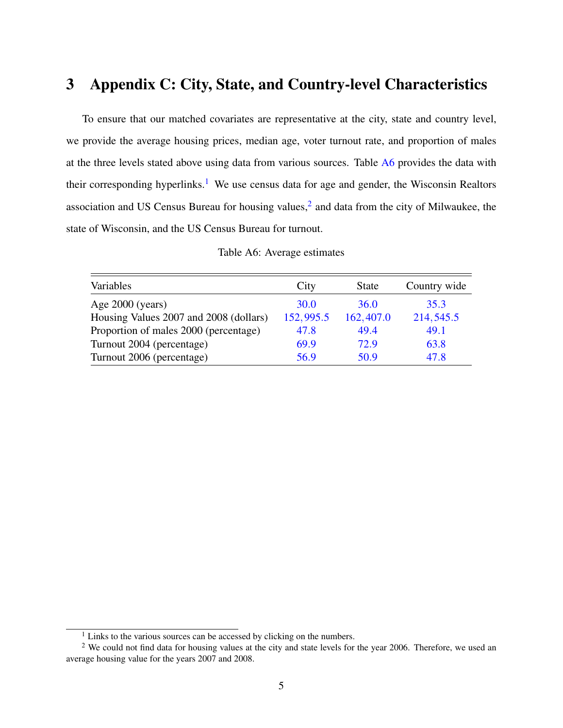#### <span id="page-4-0"></span>3 Appendix C: City, State, and Country-level Characteristics

To ensure that our matched covariates are representative at the city, state and country level, we provide the average housing prices, median age, voter turnout rate, and proportion of males at the three levels stated above using data from various sources. Table [A6](#page-4-1) provides the data with their corresponding hyperlinks.<sup>[1](#page-4-2)</sup> We use census data for age and gender, the Wisconsin Realtors association and US Census Bureau for housing values, $<sup>2</sup>$  $<sup>2</sup>$  $<sup>2</sup>$  and data from the city of Milwaukee, the</sup> state of Wisconsin, and the US Census Bureau for turnout.

<span id="page-4-1"></span>

| Variables                              | City        | <b>State</b> | Country wide |
|----------------------------------------|-------------|--------------|--------------|
| Age $2000$ (years)                     | <b>30.0</b> | <b>36.0</b>  | 35.3         |
| Housing Values 2007 and 2008 (dollars) | 152,995.5   | 162,407.0    | 214, 545.5   |
| Proportion of males 2000 (percentage)  | 47.8        | 49.4         | 49.1         |
| Turnout 2004 (percentage)              | 69.9        | 72.9         | 63.8         |
| Turnout 2006 (percentage)              | 56.9        | 50.9         | 47.8         |

Table A6: Average estimates

<span id="page-4-3"></span><span id="page-4-2"></span> $1$  Links to the various sources can be accessed by clicking on the numbers.

<sup>&</sup>lt;sup>2</sup> We could not find data for housing values at the city and state levels for the year 2006. Therefore, we used an average housing value for the years 2007 and 2008.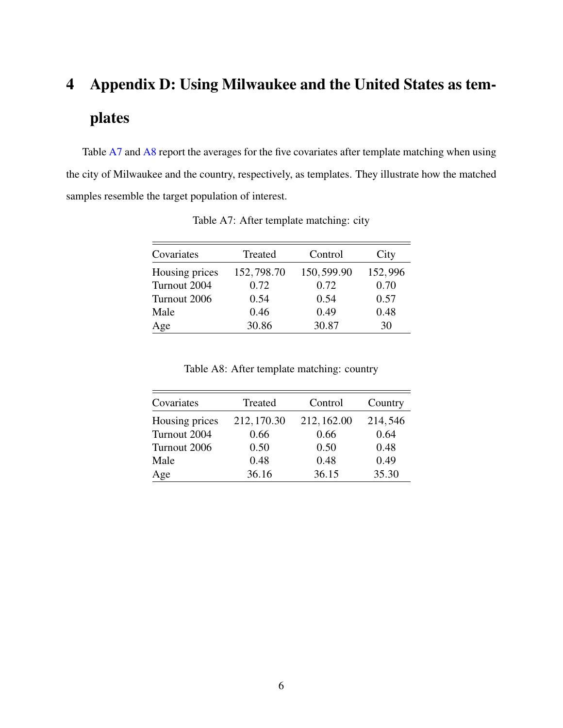# <span id="page-5-0"></span>4 Appendix D: Using Milwaukee and the United States as templates

<span id="page-5-1"></span>Table [A7](#page-5-1) and [A8](#page-5-2) report the averages for the five covariates after template matching when using the city of Milwaukee and the country, respectively, as templates. They illustrate how the matched samples resemble the target population of interest.

| Covariates     | Treated    | Control    | City    |
|----------------|------------|------------|---------|
| Housing prices | 152,798.70 | 150,599.90 | 152,996 |
| Turnout 2004   | 0.72       | 0.72       | 0.70    |
| Turnout 2006   | 0.54       | 0.54       | 0.57    |
| Male           | 0.46       | 0.49       | 0.48    |
| Age            | 30.86      | 30.87      | 30      |

Table A7: After template matching: city

Table A8: After template matching: country

<span id="page-5-2"></span>

| Covariates     | Treated     | Control     | Country |
|----------------|-------------|-------------|---------|
| Housing prices | 212, 170.30 | 212, 162.00 | 214,546 |
| Turnout 2004   | 0.66        | 0.66        | 0.64    |
| Turnout 2006   | 0.50        | 0.50        | 0.48    |
| Male           | 0.48        | 0.48        | 0.49    |
| Age            | 36.16       | 36.15       | 35.30   |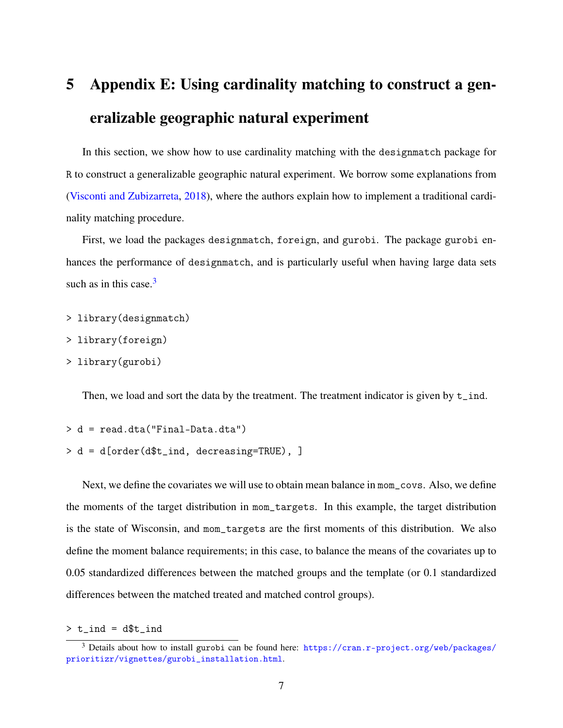## <span id="page-6-0"></span>5 Appendix E: Using cardinality matching to construct a generalizable geographic natural experiment

In this section, we show how to use cardinality matching with the designmatch package for R to construct a generalizable geographic natural experiment. We borrow some explanations from [\(Visconti and Zubizarreta,](#page-10-1) [2018\)](#page-10-1), where the authors explain how to implement a traditional cardinality matching procedure.

First, we load the packages designmatch, foreign, and gurobi. The package gurobi enhances the performance of designmatch, and is particularly useful when having large data sets such as in this case. $3$ 

- > library(designmatch)
- > library(foreign)
- > library(gurobi)

Then, we load and sort the data by the treatment. The treatment indicator is given by  $t$  ind.

```
> d = read.dta("Final-Data.dta")
> d = d[order(d$t_ind, decreasing=TRUE), ]
```
Next, we define the covariates we will use to obtain mean balance in mom\_covs. Also, we define the moments of the target distribution in mom\_targets. In this example, the target distribution is the state of Wisconsin, and mom\_targets are the first moments of this distribution. We also define the moment balance requirements; in this case, to balance the means of the covariates up to 0.05 standardized differences between the matched groups and the template (or 0.1 standardized differences between the matched treated and matched control groups).

 $> t$ \_ind = d\$ $t$ \_ind

<span id="page-6-1"></span><sup>&</sup>lt;sup>3</sup> Details about how to install gurobi can be found here: [https://cran.r-project.org/web/packages/](https://cran.r-project.org/web/packages/prioritizr/vignettes/gurobi_installation.html) [prioritizr/vignettes/gurobi\\_installation.html](https://cran.r-project.org/web/packages/prioritizr/vignettes/gurobi_installation.html).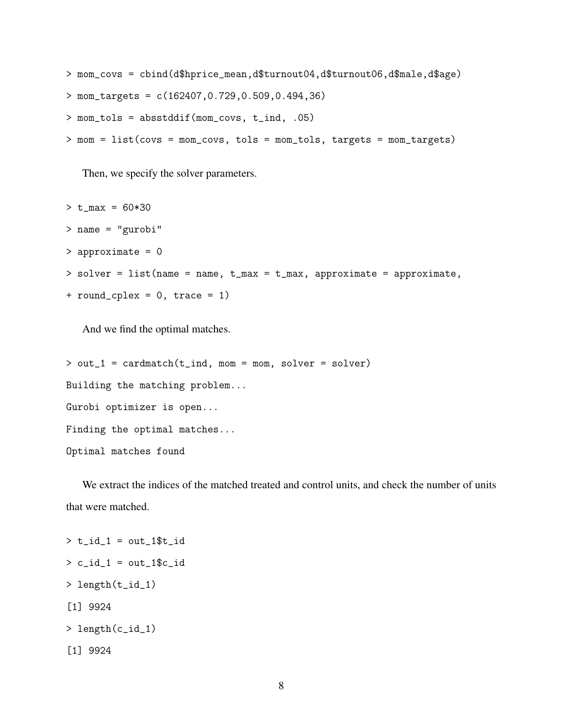> mom\_covs = cbind(d\$hprice\_mean,d\$turnout04,d\$turnout06,d\$male,d\$age) > mom\_targets = c(162407,0.729,0.509,0.494,36) > mom\_tols = absstddif(mom\_covs, t\_ind, .05) > mom = list(covs = mom\_covs, tols = mom\_tols, targets = mom\_targets)

Then, we specify the solver parameters.

 $> t_{max} = 60*30$ > name = "gurobi" > approximate = 0  $>$  solver = list(name = name, t\_max = t\_max, approximate = approximate,  $+$  round\_cplex = 0, trace = 1)

And we find the optimal matches.

```
> out_1 = cardmatch(t_ind, mom = mom, solver = solver)
Building the matching problem...
Gurobi optimizer is open...
Finding the optimal matches...
Optimal matches found
```
We extract the indices of the matched treated and control units, and check the number of units that were matched.

```
> t_id_1 = out_1$t_id
> c_id_1 = out_1$c_id> length(t_id_1)
[1] 9924
> length(c_id_1)
[1] 9924
```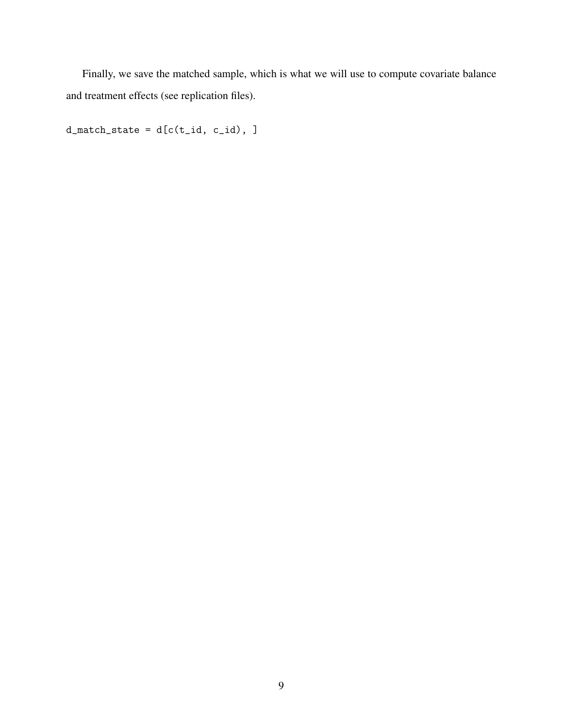Finally, we save the matched sample, which is what we will use to compute covariate balance and treatment effects (see replication files).

 $d_matrix_t = d[c(t_id, c_id), ]$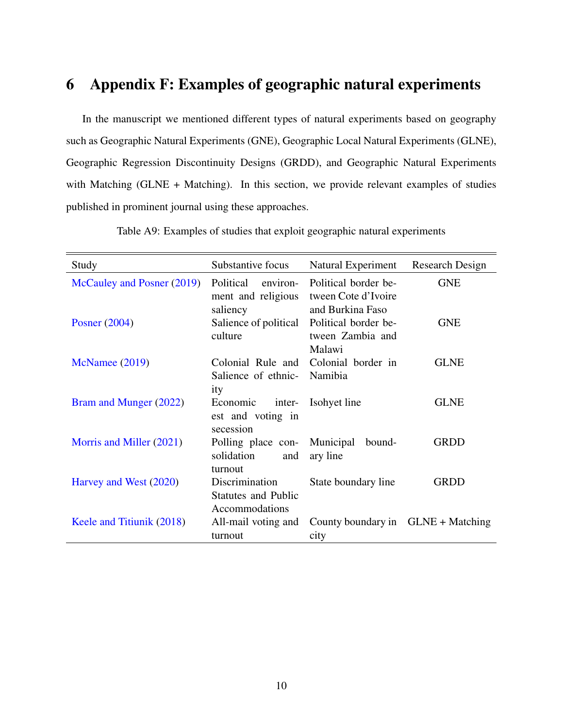#### <span id="page-9-0"></span>6 Appendix F: Examples of geographic natural experiments

In the manuscript we mentioned different types of natural experiments based on geography such as Geographic Natural Experiments (GNE), Geographic Local Natural Experiments (GLNE), Geographic Regression Discontinuity Designs (GRDD), and Geographic Natural Experiments with Matching (GLNE + Matching). In this section, we provide relevant examples of studies published in prominent journal using these approaches.

| Study                      | Substantive focus                                              | Natural Experiment                                              | Research Design |
|----------------------------|----------------------------------------------------------------|-----------------------------------------------------------------|-----------------|
| McCauley and Posner (2019) | Political<br>environ-<br>ment and religious<br>saliency        | Political border be-<br>tween Cote d'Ivoire<br>and Burkina Faso | <b>GNE</b>      |
| Posner $(2004)$            | Salience of political<br>culture                               | Political border be-<br>tween Zambia and<br>Malawi              | <b>GNE</b>      |
| McNamee (2019)             | Colonial Rule and<br>Salience of ethnic-<br>ity                | Colonial border in<br>Namibia                                   | <b>GLNE</b>     |
| Bram and Munger (2022)     | Economic<br>inter-<br>est and voting in<br>secession           | Isohyet line                                                    | <b>GLNE</b>     |
| Morris and Miller (2021)   | Polling place con-<br>solidation<br>and<br>turnout             | Municipal<br>bound-<br>ary line                                 | <b>GRDD</b>     |
| Harvey and West (2020)     | Discrimination<br><b>Statutes and Public</b><br>Accommodations | State boundary line                                             | <b>GRDD</b>     |
| Keele and Titiunik (2018)  | All-mail voting and<br>turnout                                 | County boundary in GLNE + Matching<br>city                      |                 |

Table A9: Examples of studies that exploit geographic natural experiments